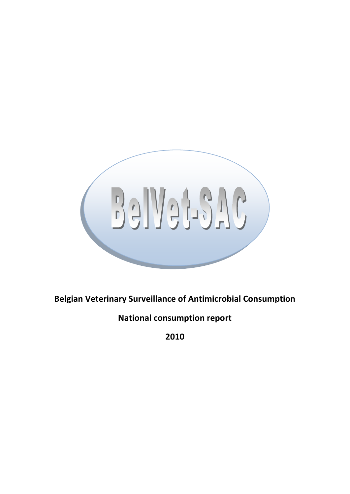

**Belgian Veterinary Surveillance of Antimicrobial Consumption**

**National consumption report**

**2010**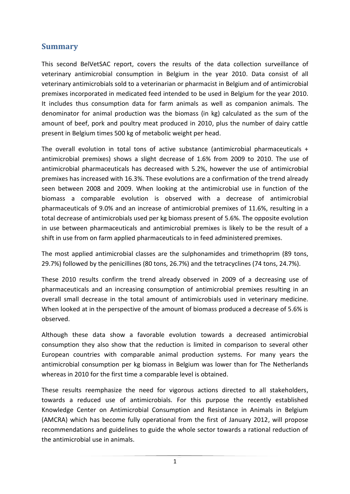# <span id="page-1-0"></span>**Summary**

This second BelVetSAC report, covers the results of the data collection surveillance of veterinary antimicrobial consumption in Belgium in the year 2010. Data consist of all veterinary antimicrobials sold to a veterinarian or pharmacist in Belgium and of antimicrobial premixes incorporated in medicated feed intended to be used in Belgium for the year 2010. It includes thus consumption data for farm animals as well as companion animals. The denominator for animal production was the biomass (in kg) calculated as the sum of the amount of beef, pork and poultry meat produced in 2010, plus the number of dairy cattle present in Belgium times 500 kg of metabolic weight per head.

The overall evolution in total tons of active substance (antimicrobial pharmaceuticals + antimicrobial premixes) shows a slight decrease of 1.6% from 2009 to 2010. The use of antimicrobial pharmaceuticals has decreased with 5.2%, however the use of antimicrobial premixes has increased with 16.3%. These evolutions are a confirmation of the trend already seen between 2008 and 2009. When looking at the antimicrobial use in function of the biomass a comparable evolution is observed with a decrease of antimicrobial pharmaceuticals of 9.0% and an increase of antimicrobial premixes of 11.6%, resulting in a total decrease of antimicrobials used per kg biomass present of 5.6%. The opposite evolution in use between pharmaceuticals and antimicrobial premixes is likely to be the result of a shift in use from on farm applied pharmaceuticals to in feed administered premixes.

The most applied antimicrobial classes are the sulphonamides and trimethoprim (89 tons, 29.7%) followed by the penicillines (80 tons, 26.7%) and the tetracyclines (74 tons, 24.7%).

These 2010 results confirm the trend already observed in 2009 of a decreasing use of pharmaceuticals and an increasing consumption of antimicrobial premixes resulting in an overall small decrease in the total amount of antimicrobials used in veterinary medicine. When looked at in the perspective of the amount of biomass produced a decrease of 5.6% is observed.

Although these data show a favorable evolution towards a decreased antimicrobial consumption they also show that the reduction is limited in comparison to several other European countries with comparable animal production systems. For many years the antimicrobial consumption per kg biomass in Belgium was lower than for The Netherlands whereas in 2010 for the first time a comparable level is obtained.

These results reemphasize the need for vigorous actions directed to all stakeholders, towards a reduced use of antimicrobials. For this purpose the recently established Knowledge Center on Antimicrobial Consumption and Resistance in Animals in Belgium (AMCRA) which has become fully operational from the first of January 2012, will propose recommendations and guidelines to guide the whole sector towards a rational reduction of the antimicrobial use in animals.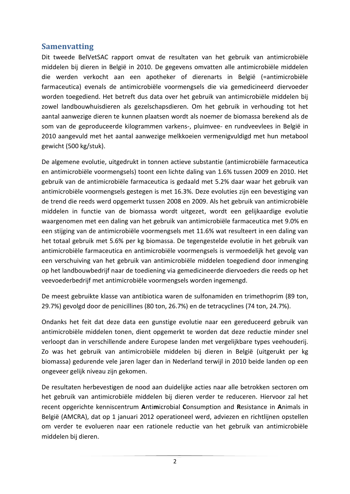## <span id="page-2-0"></span>**Samenvatting**

Dit tweede BelVetSAC rapport omvat de resultaten van het gebruik van antimicrobiële middelen bij dieren in België in 2010. De gegevens omvatten alle antimicrobiële middelen die werden verkocht aan een apotheker of dierenarts in België (=antimicrobiële farmaceutica) evenals de antimicrobiële voormengsels die via gemedicineerd diervoeder worden toegediend. Het betreft dus data over het gebruik van antimicrobiële middelen bij zowel landbouwhuisdieren als gezelschapsdieren. Om het gebruik in verhouding tot het aantal aanwezige dieren te kunnen plaatsen wordt als noemer de biomassa berekend als de som van de geproduceerde kilogrammen varkens-, pluimvee- en rundveevlees in België in 2010 aangevuld met het aantal aanwezige melkkoeien vermenigvuldigd met hun metabool gewicht (500 kg/stuk).

De algemene evolutie, uitgedrukt in tonnen actieve substantie (antimicrobiële farmaceutica en antimicrobiële voormengsels) toont een lichte daling van 1.6% tussen 2009 en 2010. Het gebruik van de antimicrobiële farmaceutica is gedaald met 5.2% daar waar het gebruik van antimicrobiële voormengsels gestegen is met 16.3%. Deze evoluties zijn een bevestiging van de trend die reeds werd opgemerkt tussen 2008 en 2009. Als het gebruik van antimicrobiële middelen in functie van de biomassa wordt uitgezet, wordt een gelijkaardige evolutie waargenomen met een daling van het gebruik van antimicrobiële farmaceutica met 9.0% en een stijging van de antimicrobiële voormengsels met 11.6% wat resulteert in een daling van het totaal gebruik met 5.6% per kg biomassa. De tegengestelde evolutie in het gebruik van antimicrobiële farmaceutica en antimicrobiële voormengsels is vermoedelijk het gevolg van een verschuiving van het gebruik van antimicrobiële middelen toegediend door inmenging op het landbouwbedrijf naar de toediening via gemedicineerde diervoeders die reeds op het veevoederbedrijf met antimicrobiële voormengsels worden ingemengd.

De meest gebruikte klasse van antibiotica waren de sulfonamiden en trimethoprim (89 ton, 29.7%) gevolgd door de penicillines (80 ton, 26.7%) en de tetracyclines (74 ton, 24.7%).

Ondanks het feit dat deze data een gunstige evolutie naar een gereduceerd gebruik van antimicrobiële middelen tonen, dient opgemerkt te worden dat deze reductie minder snel verloopt dan in verschillende andere Europese landen met vergelijkbare types veehouderij. Zo was het gebruik van antimicrobiële middelen bij dieren in België (uitgerukt per kg biomassa) gedurende vele jaren lager dan in Nederland terwijl in 2010 beide landen op een ongeveer gelijk niveau zijn gekomen.

De resultaten herbevestigen de nood aan duidelijke acties naar alle betrokken sectoren om het gebruik van antimicrobiële middelen bij dieren verder te reduceren. Hiervoor zal het recent opgerichte kenniscentrum **A**nti**m**icrobial **C**onsumption and **R**esistance in **A**nimals in België (AMCRA), dat op 1 januari 2012 operationeel werd, adviezen en richtlijnen opstellen om verder te evolueren naar een rationele reductie van het gebruik van antimicrobiële middelen bij dieren.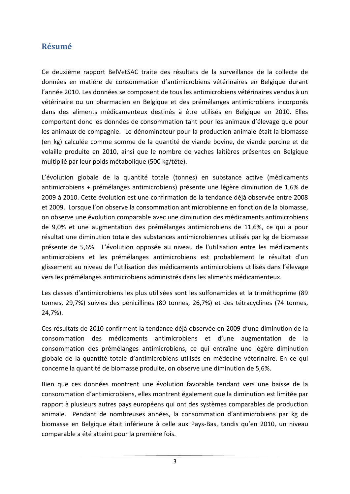# <span id="page-3-0"></span>**Résumé**

Ce deuxième rapport BelVetSAC traite des résultats de la surveillance de la collecte de données en matière de consommation d'antimicrobiens vétérinaires en Belgique durant l'année 2010. Les données se composent de tous les antimicrobiens vétérinaires vendus à un vétérinaire ou un pharmacien en Belgique et des prémélanges antimicrobiens incorporés dans des aliments médicamenteux destinés à être utilisés en Belgique en 2010. Elles comportent donc les données de consommation tant pour les animaux d'élevage que pour les animaux de compagnie. Le dénominateur pour la production animale était la biomasse (en kg) calculée comme somme de la quantité de viande bovine, de viande porcine et de volaille produite en 2010, ainsi que le nombre de vaches laitières présentes en Belgique multiplié par leur poids métabolique (500 kg/tête).

L'évolution globale de la quantité totale (tonnes) en substance active (médicaments antimicrobiens + prémélanges antimicrobiens) présente une légère diminution de 1,6% de 2009 à 2010. Cette évolution est une confirmation de la tendance déjà observée entre 2008 et 2009. Lorsque l'on observe la consommation antimicrobienne en fonction de la biomasse, on observe une évolution comparable avec une diminution des médicaments antimicrobiens de 9,0% et une augmentation des prémélanges antimicrobiens de 11,6%, ce qui a pour résultat une diminution totale des substances antimicrobiennes utilisés par kg de biomasse présente de 5,6%. L'évolution opposée au niveau de l'utilisation entre les médicaments antimicrobiens et les prémélanges antimicrobiens est probablement le résultat d'un glissement au niveau de l'utilisation des médicaments antimicrobiens utilisés dans l'élevage vers les prémélanges antimicrobiens administrés dans les aliments médicamenteux.

Les classes d'antimicrobiens les plus utilisées sont les sulfonamides et la triméthoprime (89 tonnes, 29,7%) suivies des pénicillines (80 tonnes, 26,7%) et des tétracyclines (74 tonnes, 24,7%).

Ces résultats de 2010 confirment la tendance déjà observée en 2009 d'une diminution de la consommation des médicaments antimicrobiens et d'une augmentation de la consommation des prémélanges antimicrobiens, ce qui entraîne une légère diminution globale de la quantité totale d'antimicrobiens utilisés en médecine vétérinaire. En ce qui concerne la quantité de biomasse produite, on observe une diminution de 5,6%.

Bien que ces données montrent une évolution favorable tendant vers une baisse de la consommation d'antimicrobiens, elles montrent également que la diminution est limitée par rapport à plusieurs autres pays européens qui ont des systèmes comparables de production animale. Pendant de nombreuses années, la consommation d'antimicrobiens par kg de biomasse en Belgique était inférieure à celle aux Pays-Bas, tandis qu'en 2010, un niveau comparable a été atteint pour la première fois.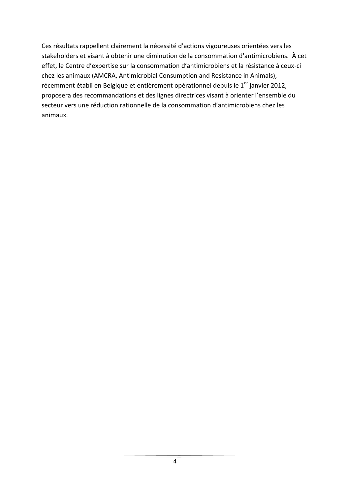Ces résultats rappellent clairement la nécessité d'actions vigoureuses orientées vers les stakeholders et visant à obtenir une diminution de la consommation d'antimicrobiens. À cet effet, le Centre d'expertise sur la consommation d'antimicrobiens et la résistance à ceux-ci chez les animaux (AMCRA, Antimicrobial Consumption and Resistance in Animals), récemment établi en Belgique et entièrement opérationnel depuis le 1<sup>er</sup> janvier 2012, proposera des recommandations et des lignes directrices visant à orienter l'ensemble du secteur vers une réduction rationnelle de la consommation d'antimicrobiens chez les animaux.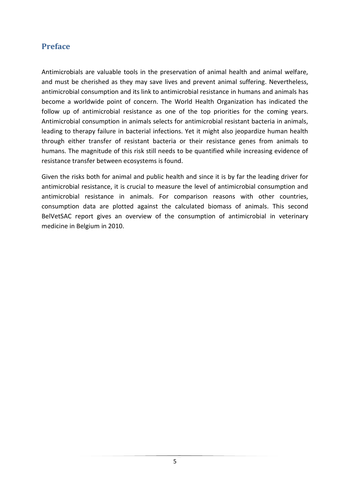# <span id="page-5-0"></span>**Preface**

Antimicrobials are valuable tools in the preservation of animal health and animal welfare, and must be cherished as they may save lives and prevent animal suffering. Nevertheless, antimicrobial consumption and its link to antimicrobial resistance in humans and animals has become a worldwide point of concern. The World Health Organization has indicated the follow up of antimicrobial resistance as one of the top priorities for the coming years. Antimicrobial consumption in animals selects for antimicrobial resistant bacteria in animals, leading to therapy failure in bacterial infections. Yet it might also jeopardize human health through either transfer of resistant bacteria or their resistance genes from animals to humans. The magnitude of this risk still needs to be quantified while increasing evidence of resistance transfer between ecosystems is found.

Given the risks both for animal and public health and since it is by far the leading driver for antimicrobial resistance, it is crucial to measure the level of antimicrobial consumption and antimicrobial resistance in animals. For comparison reasons with other countries, consumption data are plotted against the calculated biomass of animals. This second BelVetSAC report gives an overview of the consumption of antimicrobial in veterinary medicine in Belgium in 2010.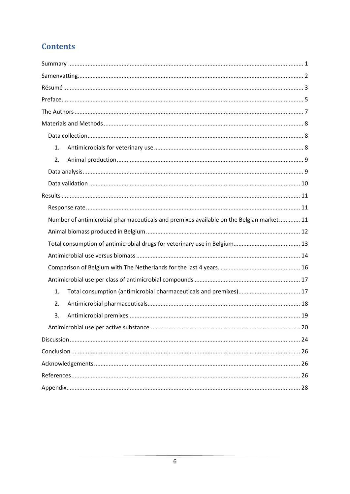# **Contents**

| 1.                                                                                      |
|-----------------------------------------------------------------------------------------|
| 2.                                                                                      |
|                                                                                         |
|                                                                                         |
|                                                                                         |
|                                                                                         |
| Number of antimicrobial pharmaceuticals and premixes available on the Belgian market 11 |
|                                                                                         |
|                                                                                         |
|                                                                                         |
|                                                                                         |
|                                                                                         |
| 1.                                                                                      |
| 2.                                                                                      |
| 3.                                                                                      |
|                                                                                         |
|                                                                                         |
|                                                                                         |
|                                                                                         |
|                                                                                         |
|                                                                                         |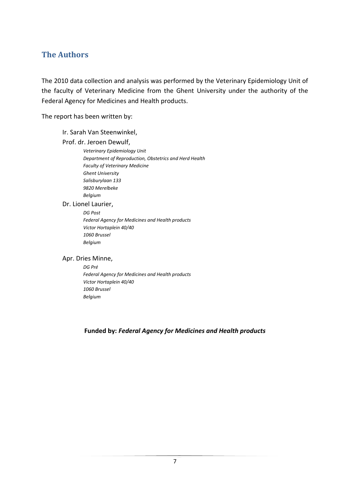# <span id="page-7-0"></span>**The Authors**

The 2010 data collection and analysis was performed by the Veterinary Epidemiology Unit of the faculty of Veterinary Medicine from the Ghent University under the authority of the Federal Agency for Medicines and Health products.

The report has been written by:

#### Ir. Sarah Van Steenwinkel,

Prof. dr. Jeroen Dewulf,

*Veterinary Epidemiology Unit Department of Reproduction, Obstetrics and Herd Health Faculty of Veterinary Medicine Ghent University Salisburylaan 133 9820 Merelbeke Belgium*

Dr. Lionel Laurier,

#### *DG Post*

*Federal Agency for Medicines and Health products Victor Hortaplein 40/40 1060 Brussel Belgium*

#### Apr. Dries Minne,

*DG Pré Federal Agency for Medicines and Health products Victor Hortaplein 40/40 1060 Brussel Belgium*

**Funded by:** *Federal Agency for Medicines and Health products*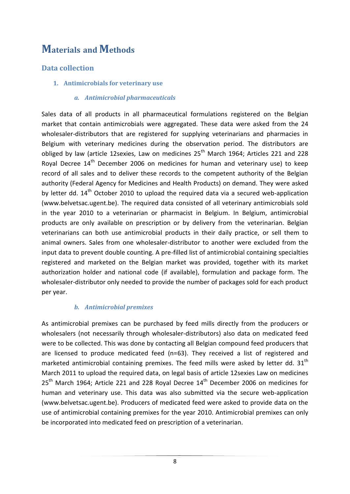# <span id="page-8-0"></span>**Materials and Methods**

# <span id="page-8-2"></span><span id="page-8-1"></span>**Data collection**

**1. Antimicrobials for veterinary use**

#### *a. Antimicrobial pharmaceuticals*

Sales data of all products in all pharmaceutical formulations registered on the Belgian market that contain antimicrobials were aggregated. These data were asked from the 24 wholesaler-distributors that are registered for supplying veterinarians and pharmacies in Belgium with veterinary medicines during the observation period. The distributors are obliged by law (article 12sexies, Law on medicines 25<sup>th</sup> March 1964; Articles 221 and 228 Royal Decree  $14<sup>th</sup>$  December 2006 on medicines for human and veterinary use) to keep record of all sales and to deliver these records to the competent authority of the Belgian authority (Federal Agency for Medicines and Health Products) on demand. They were asked by letter dd.  $14<sup>th</sup>$  October 2010 to upload the required data via a secured web-application (www.belvetsac.ugent.be). The required data consisted of all veterinary antimicrobials sold in the year 2010 to a veterinarian or pharmacist in Belgium. In Belgium, antimicrobial products are only available on prescription or by delivery from the veterinarian. Belgian veterinarians can both use antimicrobial products in their daily practice, or sell them to animal owners. Sales from one wholesaler-distributor to another were excluded from the input data to prevent double counting. A pre-filled list of antimicrobial containing specialties registered and marketed on the Belgian market was provided, together with its market authorization holder and national code (if available), formulation and package form. The wholesaler-distributor only needed to provide the number of packages sold for each product per year.

#### *b. Antimicrobial premixes*

As antimicrobial premixes can be purchased by feed mills directly from the producers or wholesalers (not necessarily through wholesaler-distributors) also data on medicated feed were to be collected. This was done by contacting all Belgian compound feed producers that are licensed to produce medicated feed (n=63). They received a list of registered and marketed antimicrobial containing premixes. The feed mills were asked by letter dd.  $31<sup>th</sup>$ March 2011 to upload the required data, on legal basis of article 12sexies Law on medicines  $25<sup>th</sup>$  March 1964; Article 221 and 228 Royal Decree  $14<sup>th</sup>$  December 2006 on medicines for human and veterinary use. This data was also submitted via the secure web-application (www.belvetsac.ugent.be). Producers of medicated feed were asked to provide data on the use of antimicrobial containing premixes for the year 2010. Antimicrobial premixes can only be incorporated into medicated feed on prescription of a veterinarian.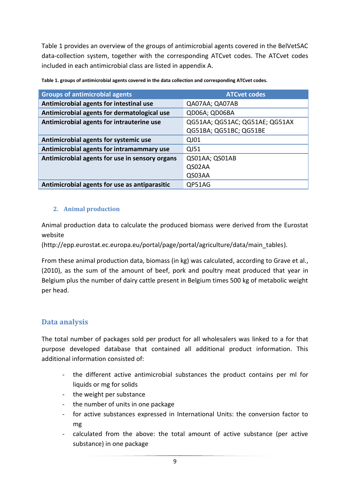Table 1 provides an overview of the groups of antimicrobial agents covered in the BelVetSAC data-collection system, together with the corresponding ATCvet codes. The ATCvet codes included in each antimicrobial class are listed in appendix A.

| <b>Groups of antimicrobial agents</b>          | <b>ATCvet codes</b>            |
|------------------------------------------------|--------------------------------|
| Antimicrobial agents for intestinal use        | QA07AA; QA07AB                 |
| Antimicrobial agents for dermatological use    | QD06A; QD06BA                  |
| Antimicrobial agents for intrauterine use      | QG51AA; QG51AC; QG51AE; QG51AX |
|                                                | QG51BA; QG51BC; QG51BE         |
| Antimicrobial agents for systemic use          | QJ01                           |
| Antimicrobial agents for intramammary use      | QJ51                           |
| Antimicrobial agents for use in sensory organs | QS01AA; QS01AB                 |
|                                                | QS02AA                         |
|                                                | QS03AA                         |
| Antimicrobial agents for use as antiparasitic  | QP51AG                         |

**Table 1. groups of antimicrobial agents covered in the data collection and corresponding ATCvet codes.**

#### <span id="page-9-0"></span>**2. Animal production**

Animal production data to calculate the produced biomass were derived from the Eurostat website

(http://epp.eurostat.ec.europa.eu/portal/page/portal/agriculture/data/main\_tables).

From these animal production data, biomass (in kg) was calculated, according to Grave et al., (2010), as the sum of the amount of beef, pork and poultry meat produced that year in Belgium plus the number of dairy cattle present in Belgium times 500 kg of metabolic weight per head.

### <span id="page-9-1"></span>**Data analysis**

The total number of packages sold per product for all wholesalers was linked to a for that purpose developed database that contained all additional product information. This additional information consisted of:

- the different active antimicrobial substances the product contains per ml for liquids or mg for solids
- the weight per substance
- the number of units in one package
- for active substances expressed in International Units: the conversion factor to mg
- calculated from the above: the total amount of active substance (per active substance) in one package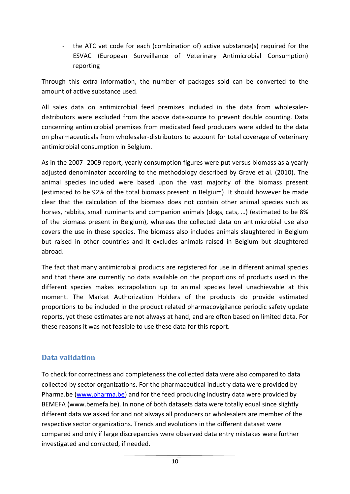- the ATC vet code for each (combination of) active substance(s) required for the ESVAC (European Surveillance of Veterinary Antimicrobial Consumption) reporting

Through this extra information, the number of packages sold can be converted to the amount of active substance used.

All sales data on antimicrobial feed premixes included in the data from wholesalerdistributors were excluded from the above data-source to prevent double counting. Data concerning antimicrobial premixes from medicated feed producers were added to the data on pharmaceuticals from wholesaler-distributors to account for total coverage of veterinary antimicrobial consumption in Belgium.

As in the 2007- 2009 report, yearly consumption figures were put versus biomass as a yearly adjusted denominator according to the methodology described by Grave et al. (2010). The animal species included were based upon the vast majority of the biomass present (estimated to be 92% of the total biomass present in Belgium). It should however be made clear that the calculation of the biomass does not contain other animal species such as horses, rabbits, small ruminants and companion animals (dogs, cats, …) (estimated to be 8% of the biomass present in Belgium), whereas the collected data on antimicrobial use also covers the use in these species. The biomass also includes animals slaughtered in Belgium but raised in other countries and it excludes animals raised in Belgium but slaughtered abroad.

The fact that many antimicrobial products are registered for use in different animal species and that there are currently no data available on the proportions of products used in the different species makes extrapolation up to animal species level unachievable at this moment. The Market Authorization Holders of the products do provide estimated proportions to be included in the product related pharmacovigilance periodic safety update reports, yet these estimates are not always at hand, and are often based on limited data. For these reasons it was not feasible to use these data for this report.

# <span id="page-10-0"></span>**Data validation**

To check for correctness and completeness the collected data were also compared to data collected by sector organizations. For the pharmaceutical industry data were provided by Pharma.be [\(www.pharma.be\)](http://www.pharma.be/) and for the feed producing industry data were provided by BEMEFA (www.bemefa.be). In none of both datasets data were totally equal since slightly different data we asked for and not always all producers or wholesalers are member of the respective sector organizations. Trends and evolutions in the different dataset were compared and only if large discrepancies were observed data entry mistakes were further investigated and corrected, if needed.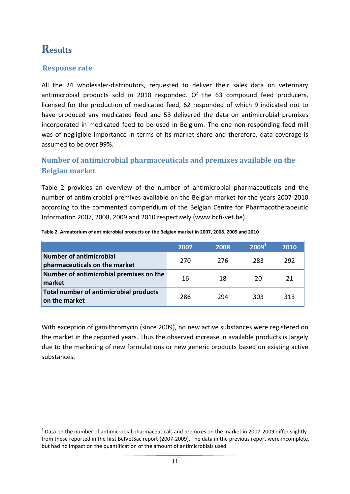# <span id="page-11-0"></span>**Results**

**.** 

## <span id="page-11-1"></span>**Response rate**

All the 24 wholesaler-distributors, requested to deliver their sales data on veterinary antimicrobial products sold in 2010 responded. Of the 63 compound feed producers, licensed for the production of medicated feed, 62 responded of which 9 indicated not to have produced any medicated feed and 53 delivered the data on antimicrobial premixes incorporated in medicated feed to be used in Belgium. The one non-responding feed mill was of negligible importance in terms of its market share and therefore, data coverage is assumed to be over 99%.

# <span id="page-11-2"></span>**Number of antimicrobial pharmaceuticals and premixes available on the Belgian market**

Table 2 provides an overview of the number of antimicrobial pharmaceuticals and the number of antimicrobial premixes available on the Belgian market for the years 2007-2010 according to the commented compendium of the Belgian Centre for Pharmacotherapeutic Information 2007, 2008, 2009 and 2010 respectively (www.bcfi-vet.be).

|                                                                 | 2007 | 2008 | 2009 <sup>1</sup> | 2010 |
|-----------------------------------------------------------------|------|------|-------------------|------|
| <b>Number of antimicrobial</b><br>pharmaceuticals on the market | 270  | 276  | 283               | 292  |
| Number of antimicrobial premixes on the<br>market               | 16   | 18   | 20                |      |
| Total number of antimicrobial products<br>on the market         | 286  | 294  | 303               | 313  |

**Table 2. Armatorium of antimicrobial products on the Belgian market in 2007, 2008, 2009 and 2010**

With exception of gamithromycin (since 2009), no new active substances were registered on the market in the reported years. Thus the observed increase in available products is largely due to the marketing of new formulations or new generic products based on existing active substances.

 $^1$  Data on the number of antimicrobial pharmaceuticals and premixes on the market in 2007-2009 differ slightly from these reported in the first BelVetSac report (2007-2009). The data in the previous report were incomplete, but had no impact on the quantification of the amount of antimicrobials used.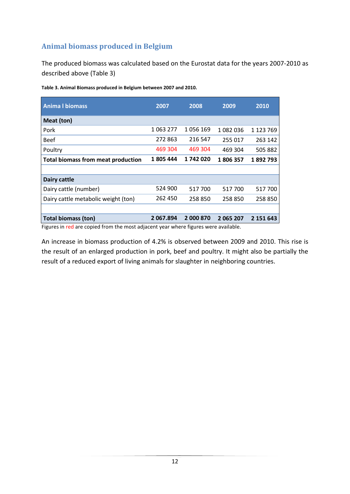# <span id="page-12-0"></span>**Animal biomass produced in Belgium**

The produced biomass was calculated based on the Eurostat data for the years 2007-2010 as described above (Table 3)

| <b>Anima I biomass</b>                    | 2007      | 2008      | 2009      | 2010      |
|-------------------------------------------|-----------|-----------|-----------|-----------|
| Meat (ton)                                |           |           |           |           |
| Pork                                      | 1 063 277 | 1056169   | 1082036   | 1 123 769 |
| <b>Beef</b>                               | 272 863   | 216 547   | 255 017   | 263 142   |
| Poultry                                   | 469 304   | 469 304   | 469 304   | 505 882   |
| <b>Total biomass from meat production</b> | 1805444   | 1742020   | 1806357   | 1892793   |
|                                           |           |           |           |           |
| Dairy cattle                              |           |           |           |           |
| Dairy cattle (number)                     | 524 900   | 517700    | 517700    | 517 700   |
| Dairy cattle metabolic weight (ton)       | 262 450   | 258 850   | 258 850   | 258 850   |
|                                           |           |           |           |           |
| <b>Total biomass (ton)</b>                | 2 067.894 | 2 000 870 | 2 065 207 | 2 151 643 |

**Table 3. Animal Biomass produced in Belgium between 2007 and 2010.** 

Figures in red are copied from the most adjacent year where figures were available.

An increase in biomass production of 4.2% is observed between 2009 and 2010. This rise is the result of an enlarged production in pork, beef and poultry. It might also be partially the result of a reduced export of living animals for slaughter in neighboring countries.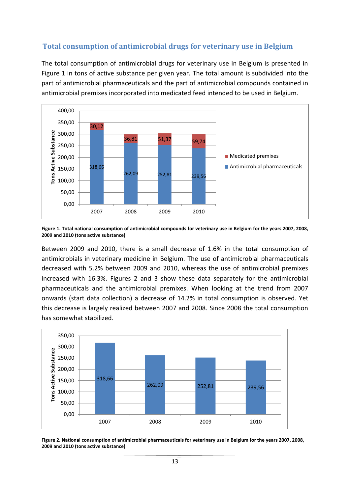## <span id="page-13-0"></span>**Total consumption of antimicrobial drugs for veterinary use in Belgium**

The total consumption of antimicrobial drugs for veterinary use in Belgium is presented in Figure 1 in tons of active substance per given year. The total amount is subdivided into the part of antimicrobial pharmaceuticals and the part of antimicrobial compounds contained in antimicrobial premixes incorporated into medicated feed intended to be used in Belgium.



**Figure 1. Total national consumption of antimicrobial compounds for veterinary use in Belgium for the years 2007, 2008, 2009 and 2010 (tons active substance)**

Between 2009 and 2010, there is a small decrease of 1.6% in the total consumption of antimicrobials in veterinary medicine in Belgium. The use of antimicrobial pharmaceuticals decreased with 5.2% between 2009 and 2010, whereas the use of antimicrobial premixes increased with 16.3%. Figures 2 and 3 show these data separately for the antimicrobial pharmaceuticals and the antimicrobial premixes. When looking at the trend from 2007 onwards (start data collection) a decrease of 14.2% in total consumption is observed. Yet this decrease is largely realized between 2007 and 2008. Since 2008 the total consumption has somewhat stabilized.



**Figure 2. National consumption of antimicrobial pharmaceuticals for veterinary use in Belgium for the years 2007, 2008, 2009 and 2010 (tons active substance)**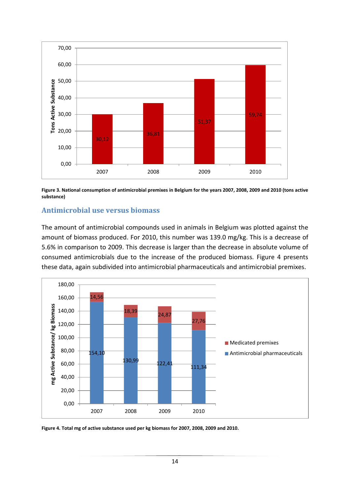

**Figure 3. National consumption of antimicrobial premixes in Belgium for the years 2007, 2008, 2009 and 2010 (tons active substance)**

#### <span id="page-14-0"></span>**Antimicrobial use versus biomass**

The amount of antimicrobial compounds used in animals in Belgium was plotted against the amount of biomass produced. For 2010, this number was 139.0 mg/kg. This is a decrease of 5.6% in comparison to 2009. This decrease is larger than the decrease in absolute volume of consumed antimicrobials due to the increase of the produced biomass. Figure 4 presents these data, again subdivided into antimicrobial pharmaceuticals and antimicrobial premixes.



**Figure 4. Total mg of active substance used per kg biomass for 2007, 2008, 2009 and 2010.**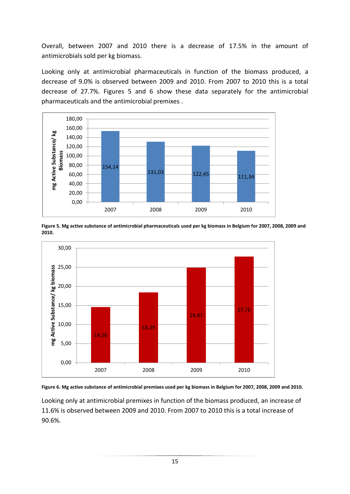Overall, between 2007 and 2010 there is a decrease of 17.5% in the amount of antimicrobials sold per kg biomass.

Looking only at antimicrobial pharmaceuticals in function of the biomass produced, a decrease of 9.0% is observed between 2009 and 2010. From 2007 to 2010 this is a total decrease of 27.7%. Figures 5 and 6 show these data separately for the antimicrobial pharmaceuticals and the antimicrobial premixes .



**Figure 5. Mg active substance of antimicrobial pharmaceuticals used per kg biomass in Belgium for 2007, 2008, 2009 and 2010.**





Looking only at antimicrobial premixes in function of the biomass produced, an increase of 11.6% is observed between 2009 and 2010. From 2007 to 2010 this is a total increase of 90.6%.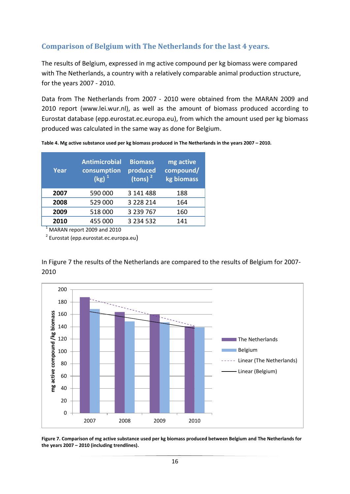# <span id="page-16-0"></span>**Comparison of Belgium with The Netherlands for the last 4 years.**

The results of Belgium, expressed in mg active compound per kg biomass were compared with The Netherlands, a country with a relatively comparable animal production structure, for the years 2007 - 2010.

Data from The Netherlands from 2007 - 2010 were obtained from the MARAN 2009 and 2010 report (www.lei.wur.nl), as well as the amount of biomass produced according to Eurostat database (epp.eurostat.ec.europa.eu), from which the amount used per kg biomass produced was calculated in the same way as done for Belgium.

**Table 4. Mg active substance used per kg biomass produced in The Netherlands in the years 2007 – 2010.**

| Year | <b>Antimicrobial</b><br>consumption<br>$(kg)^1$ | <b>Biomass</b><br>produced<br>(tons) $2$ | mg active<br>compound/<br>kg biomass |
|------|-------------------------------------------------|------------------------------------------|--------------------------------------|
| 2007 | 590 000                                         | 3 141 488                                | 188                                  |
| 2008 | 529 000                                         | 3 2 2 8 2 1 4                            | 164                                  |
| 2009 | 518 000                                         | 3 239 767                                | 160                                  |
| 2010 | 455 000                                         | 3 2 3 4 5 3 2                            | 141                                  |

<sup>1</sup> MARAN report 2009 and 2010

<sup>2</sup> Eurostat (epp.eurostat.ec.europa.eu)

In Figure 7 the results of the Netherlands are compared to the results of Belgium for 2007- 2010



**Figure 7. Comparison of mg active substance used per kg biomass produced between Belgium and The Netherlands for the years 2007 – 2010 (including trendlines).**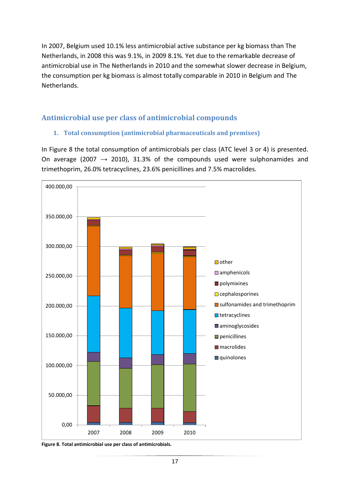In 2007, Belgium used 10.1% less antimicrobial active substance per kg biomass than The Netherlands, in 2008 this was 9.1%, in 2009 8.1%. Yet due to the remarkable decrease of antimicrobial use in The Netherlands in 2010 and the somewhat slower decrease in Belgium, the consumption per kg biomass is almost totally comparable in 2010 in Belgium and The Netherlands.

# <span id="page-17-1"></span><span id="page-17-0"></span>**Antimicrobial use per class of antimicrobial compounds**

### **1. Total consumption (antimicrobial pharmaceuticals and premixes)**

In Figure 8 the total consumption of antimicrobials per class (ATC level 3 or 4) is presented. On average (2007  $\rightarrow$  2010), 31.3% of the compounds used were sulphonamides and trimethoprim, 26.0% tetracyclines, 23.6% penicillines and 7.5% macrolides.



**Figure 8. Total antimicrobial use per class of antimicrobials.**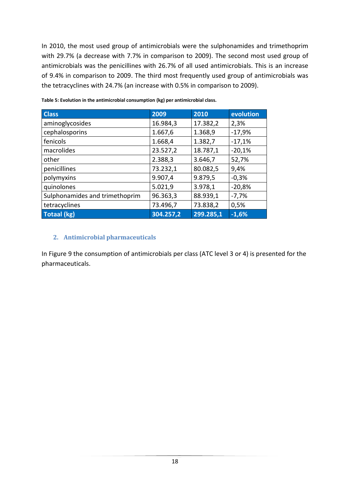In 2010, the most used group of antimicrobials were the sulphonamides and trimethoprim with 29.7% (a decrease with 7.7% in comparison to 2009). The second most used group of antimicrobials was the penicillines with 26.7% of all used antimicrobials. This is an increase of 9.4% in comparison to 2009. The third most frequently used group of antimicrobials was the tetracyclines with 24.7% (an increase with 0.5% in comparison to 2009).

| <b>Class</b>                   | 2009      | 2010      | evolution |
|--------------------------------|-----------|-----------|-----------|
| aminoglycosides                | 16.984,3  | 17.382,2  | 2,3%      |
| cephalosporins                 | 1.667,6   | 1.368,9   | $-17,9%$  |
| fenicols                       | 1.668,4   | 1.382,7   | $-17,1%$  |
| macrolides                     | 23.527,2  | 18.787,1  | $-20,1%$  |
| other                          | 2.388,3   | 3.646,7   | 52,7%     |
| penicillines                   | 73.232,1  | 80.082,5  | 9,4%      |
| polymyxins                     | 9.907,4   | 9.879,5   | $-0,3%$   |
| quinolones                     | 5.021,9   | 3.978,1   | $-20,8%$  |
| Sulphonamides and trimethoprim | 96.363,3  | 88.939,1  | $-7,7%$   |
| tetracyclines                  | 73.496,7  | 73.838,2  | 0,5%      |
| <b>Totaal (kg)</b>             | 304.257,2 | 299.285,1 | $-1,6%$   |

**Table 5: Evolution in the antimicrobial consumption (kg) per antimicrobial class.**

#### <span id="page-18-0"></span>**2. Antimicrobial pharmaceuticals**

In Figure 9 the consumption of antimicrobials per class (ATC level 3 or 4) is presented for the pharmaceuticals.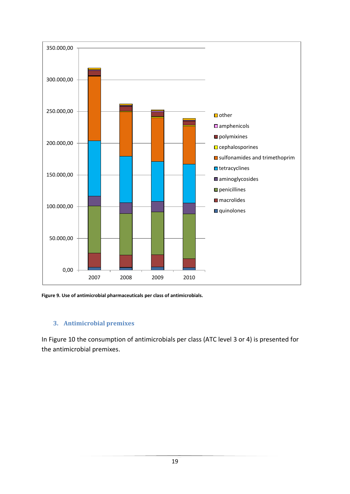

**Figure 9. Use of antimicrobial pharmaceuticals per class of antimicrobials.**

#### <span id="page-19-0"></span>**3. Antimicrobial premixes**

In Figure 10 the consumption of antimicrobials per class (ATC level 3 or 4) is presented for the antimicrobial premixes.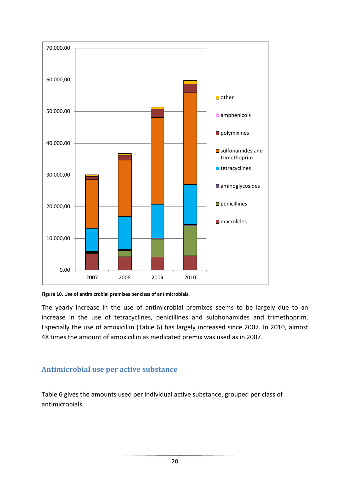

**Figure 10. Use of antimicrobial premixes per class of antimicrobials.**

The yearly increase in the use of antimicrobial premixes seems to be largely due to an increase in the use of tetracyclines, penicillines and sulphonamides and trimethoprim. Especially the use of amoxicillin (Table 6) has largely increased since 2007. In 2010, almost 48 times the amount of amoxicillin as medicated premix was used as in 2007.

### <span id="page-20-0"></span>**Antimicrobial use per active substance**

Table 6 gives the amounts used per individual active substance, grouped per class of antimicrobials.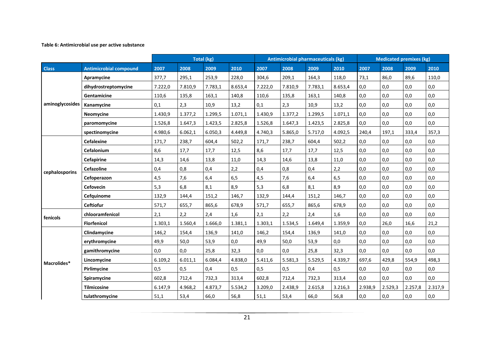#### **Table 6: Antimicrobial use per active substance**

|                 |                               |         |         | Total (kg) |         |         | <b>Antimicrobial pharmaceuticals (kg)</b> |         |         |         | <b>Medicated premixes (kg)</b> |         |         |
|-----------------|-------------------------------|---------|---------|------------|---------|---------|-------------------------------------------|---------|---------|---------|--------------------------------|---------|---------|
| <b>Class</b>    | <b>Antimicrobial compound</b> | 2007    | 2008    | 2009       | 2010    | 2007    | 2008                                      | 2009    | 2010    | 2007    | 2008                           | 2009    | 2010    |
|                 | Apramycine                    | 377,7   | 295,1   | 253,9      | 228,0   | 304,6   | 209,1                                     | 164,3   | 118,0   | 73,1    | 86,0                           | 89,6    | 110,0   |
|                 | dihydrostreptomycine          | 7.222,0 | 7.810,9 | 7.783,1    | 8.653,4 | 7.222,0 | 7.810,9                                   | 7.783,1 | 8.653,4 | 0,0     | 0.0                            | 0,0     | 0,0     |
|                 | Gentamicine                   | 110,6   | 135,8   | 163,1      | 140,8   | 110,6   | 135,8                                     | 163,1   | 140,8   | 0,0     | 0,0                            | 0,0     | 0,0     |
| aminoglycosides | Kanamycine                    | 0,1     | 2,3     | 10,9       | 13,2    | 0,1     | 2,3                                       | 10,9    | 13,2    | 0,0     | 0,0                            | 0,0     | 0,0     |
|                 | Neomycine                     | 1.430,9 | 1.377,2 | 1.299,5    | 1.071,1 | 1.430,9 | 1.377,2                                   | 1.299,5 | 1.071,1 | 0,0     | 0,0                            | 0,0     | 0,0     |
|                 | paromomycine                  | 1.526,8 | 1.647,3 | 1.423,5    | 2.825,8 | 1.526,8 | 1.647,3                                   | 1.423,5 | 2.825,8 | 0,0     | 0,0                            | 0,0     | 0,0     |
|                 | spectinomycine                | 4.980,6 | 6.062,1 | 6.050,3    | 4.449,8 | 4.740,3 | 5.865,0                                   | 5.717,0 | 4.092,5 | 240.4   | 197.1                          | 333,4   | 357,3   |
|                 | <b>Cefalexine</b>             | 171,7   | 238,7   | 604,4      | 502,2   | 171,7   | 238,7                                     | 604,4   | 502,2   | 0,0     | 0,0                            | 0,0     | 0,0     |
|                 | Cefalonium                    | 8,6     | 17,7    | 17,7       | 12,5    | 8,6     | 17,7                                      | 17,7    | 12,5    | 0,0     | 0,0                            | 0,0     | 0,0     |
|                 | Cefapirine                    | 14,3    | 14,6    | 13,8       | 11,0    | 14,3    | 14,6                                      | 13,8    | 11,0    | 0,0     | 0,0                            | 0,0     | 0,0     |
| cephalosporins  | <b>Cefazoline</b>             | 0,4     | 0,8     | 0,4        | 2,2     | 0,4     | 0,8                                       | 0,4     | 2,2     | 0,0     | 0,0                            | 0,0     | 0,0     |
|                 | Cefoperazon                   | 4,5     | 7,6     | 6,4        | 6,5     | 4,5     | 7,6                                       | 6,4     | 6,5     | 0,0     | 0,0                            | 0,0     | 0,0     |
|                 | <b>Cefovecin</b>              | 5,3     | 6,8     | 8,1        | 8,9     | 5,3     | 6,8                                       | 8,1     | 8,9     | 0,0     | 0,0                            | 0,0     | 0,0     |
|                 | Cefquinome                    | 132,9   | 144,4   | 151,2      | 146,7   | 132,9   | 144,4                                     | 151,2   | 146,7   | 0,0     | 0,0                            | 0,0     | 0,0     |
|                 | <b>Ceftiofur</b>              | 571,7   | 655,7   | 865,6      | 678,9   | 571,7   | 655,7                                     | 865,6   | 678,9   | 0,0     | 0,0                            | 0,0     | 0,0     |
| fenicols        | chlooramfenicol               | 2,1     | 2,2     | 2,4        | 1,6     | 2,1     | 2,2                                       | 2,4     | 1,6     | 0,0     | 0,0                            | 0,0     | 0,0     |
|                 | <b>Florfenicol</b>            | 1.303,1 | 1.560,4 | 1.666,0    | 1.381,1 | 1.303,1 | 1.534,5                                   | 1.649,4 | 1.359,9 | 0,0     | 26,0                           | 16,6    | 21,2    |
|                 | Clindamycine                  | 146,2   | 154,4   | 136,9      | 141,0   | 146,2   | 154,4                                     | 136,9   | 141,0   | 0,0     | 0,0                            | 0,0     | 0,0     |
|                 | erythromycine                 | 49,9    | 50,0    | 53,9       | 0,0     | 49,9    | 50,0                                      | 53,9    | 0,0     | 0,0     | 0,0                            | 0,0     | 0,0     |
|                 | gamithromycine                | 0.0     | 0,0     | 25,8       | 32,3    | 0,0     | 0,0                                       | 25,8    | 32.3    | 0,0     | 0,0                            | 0,0     | 0,0     |
| Macrolides*     | Lincomycine                   | 6.109,2 | 6.011,1 | 6.084,4    | 4.838,0 | 5.411,6 | 5.581,3                                   | 5.529,5 | 4.339,7 | 697,6   | 429,8                          | 554,9   | 498,3   |
|                 | Pirlimycine                   | 0,5     | 0,5     | 0,4        | 0,5     | 0,5     | 0,5                                       | 0,4     | 0,5     | 0,0     | 0,0                            | 0,0     | 0,0     |
|                 | Spiramycine                   | 602,8   | 712,4   | 732,3      | 313,4   | 602,8   | 712,4                                     | 732,3   | 313,4   | 0,0     | 0,0                            | 0,0     | 0,0     |
|                 | <b>Tilmicosine</b>            | 6.147,9 | 4.968,2 | 4.873,7    | 5.534,2 | 3.209,0 | 2.438,9                                   | 2.615,8 | 3.216,3 | 2.938,9 | 2.529,3                        | 2.257,8 | 2.317,9 |
|                 | tulathromycine                | 51,1    | 53,4    | 66,0       | 56,8    | 51,1    | 53,4                                      | 66,0    | 56,8    | 0,0     | 0,0                            | 0,0     | 0,0     |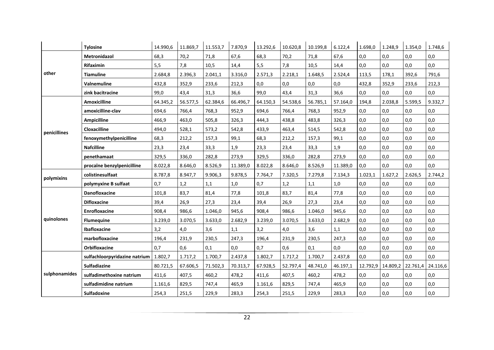|               | <b>Tylosine</b>               | 14.990.6 | 11.869,7 | 11.553,7 | 7.870,9  | 13.292,6 | 10.620,8 | 10.199,8 | 6.122,4  | 1.698,0  | 1.248,9  | 1.354,0  | 1.748,6  |
|---------------|-------------------------------|----------|----------|----------|----------|----------|----------|----------|----------|----------|----------|----------|----------|
|               | Metronidazol                  | 68,3     | 70,2     | 71,8     | 67,6     | 68,3     | 70,2     | 71,8     | 67,6     | 0,0      | 0,0      | 0,0      | 0,0      |
|               | Rifaximin                     | 5,5      | 7,8      | 10,5     | 14,4     | 5,5      | 7,8      | 10,5     | 14,4     | 0,0      | 0,0      | 0,0      | 0,0      |
| other         | <b>Tiamuline</b>              | 2.684,8  | 2.396,3  | 2.041,1  | 3.316,0  | 2.571,3  | 2.218,1  | 1.648.5  | 2.524,4  | 113,5    | 178,1    | 392.6    | 791,6    |
|               | Valnemuline                   | 432,8    | 352,9    | 233,6    | 212,3    | 0,0      | 0,0      | 0,0      | 0,0      | 432,8    | 352,9    | 233,6    | 212,3    |
|               | zink bacitracine              | 99,0     | 43,4     | 31,3     | 36,6     | 99,0     | 43,4     | 31,3     | 36,6     | 0,0      | 0,0      | 0,0      | 0,0      |
|               | <b>Amoxicilline</b>           | 64.345,2 | 56.577,5 | 62.384,6 | 66.496,7 | 64.150,3 | 54.538,6 | 56.785,1 | 57.164,0 | 194,8    | 2.038,8  | 5.599.5  | 9.332,7  |
|               | amoxicilline-clav             | 694,6    | 766,4    | 768,3    | 952,9    | 694,6    | 766,4    | 768,3    | 952,9    | 0,0      | 0,0      | 0,0      | 0,0      |
|               | <b>Ampicilline</b>            | 466,9    | 463,0    | 505,8    | 326,3    | 444,3    | 438,8    | 483,8    | 326,3    | 0,0      | 0,0      | 0.0      | 0,0      |
| penicillines  | Cloxacilline                  | 494,0    | 528,1    | 573,2    | 542,8    | 433,9    | 463,4    | 514,5    | 542,8    | 0,0      | 0,0      | 0,0      | 0,0      |
|               | fenoxymethylpenicilline       | 68,3     | 212,2    | 157,3    | 99,1     | 68,3     | 212,2    | 157,3    | 99,1     | 0,0      | 0,0      | 0,0      | 0,0      |
|               | <b>Nafcilline</b>             | 23,3     | 23,4     | 33,3     | 1,9      | 23,3     | 23,4     | 33,3     | 1,9      | 0,0      | 0,0      | 0.0      | 0,0      |
|               | penethamaat                   | 329,5    | 336,0    | 282,8    | 273,9    | 329,5    | 336,0    | 282,8    | 273,9    | 0,0      | 0,0      | 0.0      | 0,0      |
|               | procaïne benzylpenicilline    | 8.022,8  | 8.646,0  | 8.526,9  | 11.389,0 | 8.022,8  | 8.646,0  | 8.526,9  | 11.389,0 | 0,0      | 0,0      | 0,0      | 0,0      |
| polymixins    | colistinesulfaat              | 8.787,8  | 8.947,7  | 9.906,3  | 9.878,5  | 7.764,7  | 7.320,5  | 7.279,8  | 7.134,3  | 1.023,1  | 1.627,2  | 2.626,5  | 2.744,2  |
|               | polymyxine B sulfaat          | 0,7      | 1,2      | 1,1      | 1,0      | 0,7      | 1,2      | 1,1      | 1,0      | 0,0      | 0,0      | 0,0      | 0,0      |
|               | Danofloxacine                 | 101,8    | 83,7     | 81,4     | 77,8     | 101,8    | 83,7     | 81,4     | 77,8     | 0,0      | 0,0      | 0,0      | 0,0      |
|               | <b>Difloxacine</b>            | 39,4     | 26,9     | 27,3     | 23,4     | 39,4     | 26,9     | 27,3     | 23,4     | 0,0      | 0,0      | 0,0      | 0,0      |
|               | Enrofloxacine                 | 908,4    | 986,6    | 1.046,0  | 945,6    | 908,4    | 986,6    | 1.046,0  | 945,6    | 0,0      | 0,0      | 0,0      | 0,0      |
| quinolones    | <b>Flumequine</b>             | 3.239,0  | 3.070,5  | 3.633,0  | 2.682,9  | 3.239,0  | 3.070,5  | 3.633,0  | 2.682,9  | 0,0      | 0,0      | 0,0      | 0,0      |
|               | <b>Ibafloxacine</b>           | 3,2      | 4,0      | 3,6      | 1,1      | 3,2      | 4,0      | 3,6      | 1,1      | 0,0      | 0,0      | 0,0      | 0,0      |
|               | marbofloxacine                | 196,4    | 231,9    | 230,5    | 247,3    | 196,4    | 231,9    | 230,5    | 247,3    | 0,0      | 0,0      | 0,0      | 0,0      |
|               | Orbifloxacine                 | 0,7      | 0,6      | 0,1      | 0,0      | 0,7      | 0,6      | 0,1      | 0,0      | 0,0      | 0,0      | 0,0      | 0,0      |
|               | sulfachloorpyridazine natrium | 1.802,7  | 1.717,2  | 1.700,7  | 2.437,8  | 1.802,7  | 1.717,2  | 1.700,7  | 2.437,8  | 0,0      | 0.0      | 0.0      | 0,0      |
|               | Sulfadiazine                  | 80.721,5 | 67.606,5 | 71.502,3 | 70.313,7 | 67.928,5 | 52.797,4 | 48.741,0 | 46.197,1 | 12.792,9 | 14.809,2 | 22.761,4 | 24.116,6 |
| sulphonamides | sulfadimethoxine natrium      | 411,6    | 407,5    | 460,2    | 478,2    | 411,6    | 407,5    | 460,2    | 478,2    | 0,0      | 0,0      | 0,0      | 0,0      |
|               | sulfadimidine natrium         | 1.161,6  | 829,5    | 747,4    | 465,9    | 1.161,6  | 829,5    | 747,4    | 465,9    | 0,0      | 0,0      | 0,0      | 0,0      |
|               | <b>Sulfadoxine</b>            | 254,3    | 251,5    | 229,9    | 283,3    | 254,3    | 251,5    | 229,9    | 283,3    | 0,0      | 0,0      | 0,0      | 0,0      |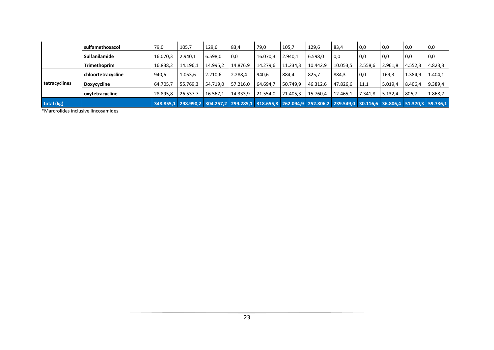|               | sulfamethoxazol    | 79,0     | 105,7    | 129,6    | 83,4     | 79,0     | 105,7                                                                                                               | 129,6    | 83,4     | $\overline{0.0}$ | 0,0     | 0,0     | 0,0     |
|---------------|--------------------|----------|----------|----------|----------|----------|---------------------------------------------------------------------------------------------------------------------|----------|----------|------------------|---------|---------|---------|
|               | Sulfanilamide      | 16.070,3 | 2.940,1  | 6.598,0  | 0,0      | 16.070,3 | 2.940,1                                                                                                             | 6.598,0  | 0,0      | 0,0              | 0,0     | 0,0     | 0,0     |
|               | Trimethoprim       | 16.838,2 | 14.196,1 | 14.995,2 | 14.876,9 | 14.279,6 | 11.234,3                                                                                                            | 10.442,9 | 10.053,5 | 2.558,6          | 2.961,8 | 4.552,3 | 4.823,3 |
|               | chloortetracycline | 940,6    | 1.053,6  | 2.210,6  | 2.288,4  | 940.6    | 884,4                                                                                                               | 825,7    | 884,3    | $\overline{0.0}$ | 169,3   | 1.384,9 | 1.404,1 |
| tetracyclines | Doxycycline        | 64.705,7 | 55.769,3 | 54.719,0 | 57.216,0 | 64.694,7 | 50.749,9                                                                                                            | 46.312,6 | 47.826,6 | 11,1             | 5.019,4 | 8.406,4 | 9.389,4 |
|               | oxytetracycline    | 28.895,8 | 26.537,7 | 16.567,1 | 14.333,9 | 21.554,0 | 21.405,3                                                                                                            | 15.760.4 | 12.465,1 | 7.341.8          | 5.132,4 | 806,7   | 1.868,7 |
| total (kg)    |                    |          |          |          |          |          | 348.855,1 298.990,2 304.257,2 299.285,1 318.655,8 262.094,9 252.806,2 239.549,0 30.116,6 36.806,4 51.370,3 59.736,1 |          |          |                  |         |         |         |

\*Marcrolides inclusive lincosamides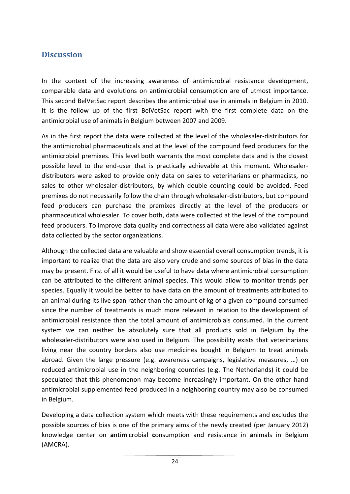# <span id="page-24-0"></span>**Discussion**

In the context of the increasing awareness of antimicrobial resistance development, comparable data and evolutions on antimicrobial consumption are of utmost importance. This second BelVetSac report describes the antimicrobial use in animals in Belgium in 2010. It is the follow up of the first BelVetSac report with the first complete data on the antimicrobial use of animals in Belgium between 2007 and 2009.

As in the first report the data were collected at the level of the wholesaler-distributors for the antimicrobial pharmaceuticals and at the level of the compound feed producers for the antimicrobial premixes. This level both warrants the most complete data and is the closest possible level to the end-user that is practically achievable at this moment. Wholesalerdistributors were asked to provide only data on sales to veterinarians or pharmacists, no sales to other wholesaler-distributors, by which double counting could be avoided. Feed premixes do not necessarily follow the chain through wholesaler-distributors, but compound feed producers can purchase the premixes directly at the level of the producers or pharmaceutical wholesaler. To cover both, data were collected at the level of the compound feed producers. To improve data quality and correctness all data were also validated against data collected by the sector organizations.

Although the collected data are valuable and show essential overall consumption trends, it is important to realize that the data are also very crude and some sources of bias in the data may be present. First of all it would be useful to have data where antimicrobial consumption can be attributed to the different animal species. This would allow to monitor trends per species. Equally it would be better to have data on the amount of treatments attributed to an animal during its live span rather than the amount of kg of a given compound consumed since the number of treatments is much more relevant in relation to the development of antimicrobial resistance than the total amount of antimicrobials consumed. In the current system we can neither be absolutely sure that all products sold in Belgium by the wholesaler-distributors were also used in Belgium. The possibility exists that veterinarians living near the country borders also use medicines bought in Belgium to treat animals abroad. Given the large pressure (e.g. awareness campaigns, legislative measures, …) on reduced antimicrobial use in the neighboring countries (e.g. The Netherlands) it could be speculated that this phenomenon may become increasingly important. On the other hand antimicrobial supplemented feed produced in a neighboring country may also be consumed in Belgium.

Developing a data collection system which meets with these requirements and excludes the possible sources of bias is one of the primary aims of the newly created (per January 2012) knowledge center on **a**nti**m**icrobial **c**onsumption and **r**esistance in **a**nimals in Belgium (AMCRA).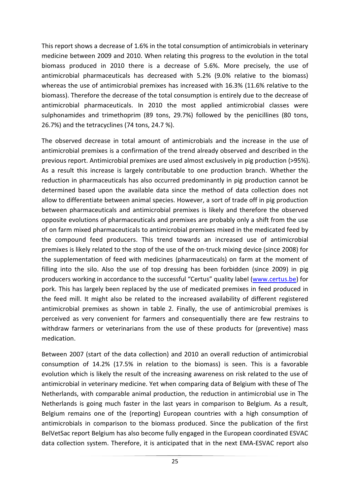This report shows a decrease of 1.6% in the total consumption of antimicrobials in veterinary medicine between 2009 and 2010. When relating this progress to the evolution in the total biomass produced in 2010 there is a decrease of 5.6%. More precisely, the use of antimicrobial pharmaceuticals has decreased with 5.2% (9.0% relative to the biomass) whereas the use of antimicrobial premixes has increased with 16.3% (11.6% relative to the biomass). Therefore the decrease of the total consumption is entirely due to the decrease of antimicrobial pharmaceuticals. In 2010 the most applied antimicrobial classes were sulphonamides and trimethoprim (89 tons, 29.7%) followed by the penicillines (80 tons, 26.7%) and the tetracyclines (74 tons, 24.7 %).

The observed decrease in total amount of antimicrobials and the increase in the use of antimicrobial premixes is a confirmation of the trend already observed and described in the previous report. Antimicrobial premixes are used almost exclusively in pig production (>95%). As a result this increase is largely contributable to one production branch. Whether the reduction in pharmaceuticals has also occurred predominantly in pig production cannot be determined based upon the available data since the method of data collection does not allow to differentiate between animal species. However, a sort of trade off in pig production between pharmaceuticals and antimicrobial premixes is likely and therefore the observed opposite evolutions of pharmaceuticals and premixes are probably only a shift from the use of on farm mixed pharmaceuticals to antimicrobial premixes mixed in the medicated feed by the compound feed producers. This trend towards an increased use of antimicrobial premixes is likely related to the stop of the use of the on-truck mixing device (since 2008) for the supplementation of feed with medicines (pharmaceuticals) on farm at the moment of filling into the silo. Also the use of top dressing has been forbidden (since 2009) in pig producers working in accordance to the successful "Certus" quality label [\(www.certus.be\)](http://www.certus.be/) for pork. This has largely been replaced by the use of medicated premixes in feed produced in the feed mill. It might also be related to the increased availability of different registered antimicrobial premixes as shown in table 2. Finally, the use of antimicrobial premixes is perceived as very convenient for farmers and consequentially there are few restrains to withdraw farmers or veterinarians from the use of these products for (preventive) mass medication.

Between 2007 (start of the data collection) and 2010 an overall reduction of antimicrobial consumption of 14.2% (17.5% in relation to the biomass) is seen. This is a favorable evolution which is likely the result of the increasing awareness on risk related to the use of antimicrobial in veterinary medicine. Yet when comparing data of Belgium with these of The Netherlands, with comparable animal production, the reduction in antimicrobial use in The Netherlands is going much faster in the last years in comparison to Belgium. As a result, Belgium remains one of the (reporting) European countries with a high consumption of antimicrobials in comparison to the biomass produced. Since the publication of the first BelVetSac report Belgium has also become fully engaged in the European coordinated ESVAC data collection system. Therefore, it is anticipated that in the next EMA-ESVAC report also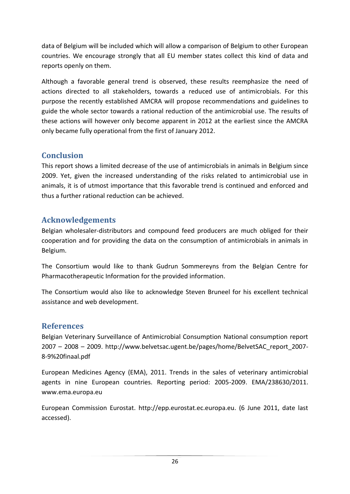data of Belgium will be included which will allow a comparison of Belgium to other European countries. We encourage strongly that all EU member states collect this kind of data and reports openly on them.

Although a favorable general trend is observed, these results reemphasize the need of actions directed to all stakeholders, towards a reduced use of antimicrobials. For this purpose the recently established AMCRA will propose recommendations and guidelines to guide the whole sector towards a rational reduction of the antimicrobial use. The results of these actions will however only become apparent in 2012 at the earliest since the AMCRA only became fully operational from the first of January 2012.

# <span id="page-26-0"></span>**Conclusion**

This report shows a limited decrease of the use of antimicrobials in animals in Belgium since 2009. Yet, given the increased understanding of the risks related to antimicrobial use in animals, it is of utmost importance that this favorable trend is continued and enforced and thus a further rational reduction can be achieved.

# <span id="page-26-1"></span>**Acknowledgements**

Belgian wholesaler-distributors and compound feed producers are much obliged for their cooperation and for providing the data on the consumption of antimicrobials in animals in Belgium.

The Consortium would like to thank Gudrun Sommereyns from the Belgian Centre for Pharmacotherapeutic Information for the provided information.

The Consortium would also like to acknowledge Steven Bruneel for his excellent technical assistance and web development.

# <span id="page-26-2"></span>**References**

Belgian Veterinary Surveillance of Antimicrobial Consumption National consumption report 2007 – 2008 – 2009. http://www.belvetsac.ugent.be/pages/home/BelvetSAC\_report\_2007- 8-9%20finaal.pdf

European Medicines Agency (EMA), 2011. Trends in the sales of veterinary antimicrobial agents in nine European countries. Reporting period: 2005-2009. EMA/238630/2011. www.ema.europa.eu

European Commission Eurostat. http://epp.eurostat.ec.europa.eu. (6 June 2011, date last accessed).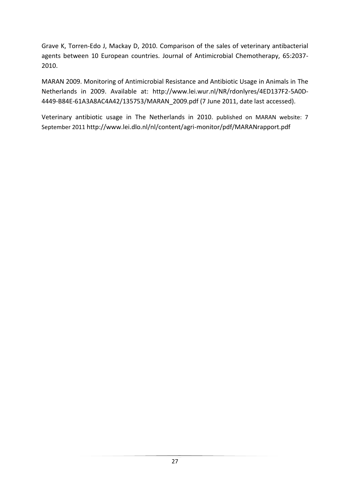Grave K, Torren-Edo J, Mackay D, 2010. Comparison of the sales of veterinary antibacterial agents between 10 European countries. Journal of Antimicrobial Chemotherapy, 65:2037- 2010.

MARAN 2009. Monitoring of Antimicrobial Resistance and Antibiotic Usage in Animals in The Netherlands in 2009. Available at: http://www.lei.wur.nl/NR/rdonlyres/4ED137F2-5A0D-4449-B84E-61A3A8AC4A42/135753/MARAN\_2009.pdf (7 June 2011, date last accessed).

Veterinary antibiotic usage in The Netherlands in 2010. published on MARAN website: 7 September 2011 http://www.lei.dlo.nl/nl/content/agri-monitor/pdf/MARANrapport.pdf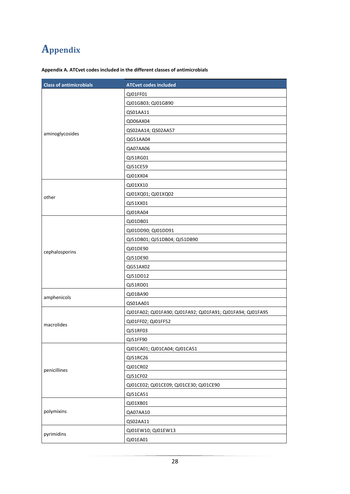# <span id="page-28-0"></span>**Appendix**

|  |  |  | Appendix A. ATCvet codes included in the different classes of antimicrobials |
|--|--|--|------------------------------------------------------------------------------|
|  |  |  |                                                                              |

| <b>Class of antimicrobials</b> | <b>ATCvet codes included</b>                               |
|--------------------------------|------------------------------------------------------------|
|                                | QJ01FF01                                                   |
|                                | QJ01GB03; QJ01GB90                                         |
|                                | QS01AA11                                                   |
|                                | QD06AX04                                                   |
| aminoglycosides                | QS02AA14; QS02AA57                                         |
|                                | QG51AA04                                                   |
|                                | QA07AA06                                                   |
|                                | QJ51RG01                                                   |
|                                | QJ51CE59                                                   |
|                                | QJ01XX04                                                   |
|                                | QJ01XX10                                                   |
| other                          | QJ01XQ01; QJ01XQ02                                         |
|                                | QJ51XX01                                                   |
|                                | QJ01RA04                                                   |
|                                | QJ01DB01                                                   |
|                                | QJ01DD90; QJ01DD91                                         |
|                                | QJ51DB01; QJ51DB04; QJ51DB90                               |
|                                | QJ01DE90                                                   |
| cephalosporins                 | QJ51DE90                                                   |
|                                | QG51AX02                                                   |
|                                | QJ51DD12                                                   |
|                                | QJ51RD01                                                   |
| amphenicols                    | QJ01BA90                                                   |
|                                | QS01AA01                                                   |
|                                | QJ01FA02; QJ01FA90; QJ01FA92; QJ01FA91; QJ01FA94; QJ01FA95 |
| macrolides                     | QJ01FF02; QJ01FF52                                         |
|                                | QJ51RF03                                                   |
|                                | QJ51FF90                                                   |
|                                | QJ01CA01; QJ01CA04; QJ01CA51                               |
|                                | QJ51RC26                                                   |
| penicillines                   | QJ01CR02                                                   |
|                                | QJ51CF02                                                   |
|                                | QJ01CE02; QJ01CE09; QJ01CE30; QJ01CE90                     |
|                                | QJ51CA51                                                   |
|                                | QJ01XB01                                                   |
| polymixins                     | QA07AA10                                                   |
|                                | QS02AA11                                                   |
|                                | QJ01EW10; QJ01EW13                                         |
| pyrimidins                     | QJ01EA01                                                   |